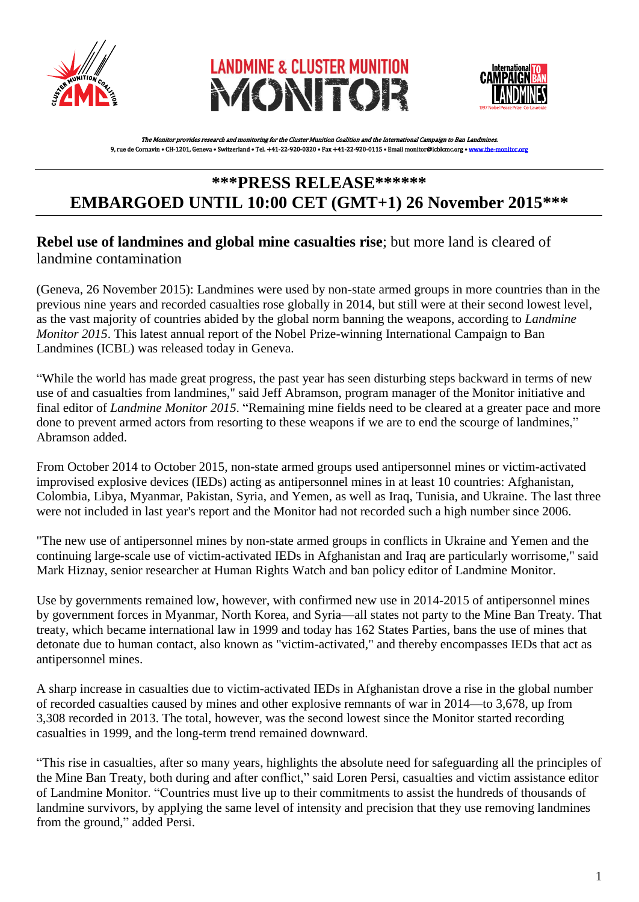





The Monitor provides research and monitoring for the Cluster Munition Coalition and the International Campaign to Ban Landmines. 9, rue de Cornavin • CH-1201, Geneva • Switzerland • Tel. +41-22-920-0320 • Fax +41-22-920-0115 • Email monitor@icblcmc.org • www.the

# **\*\*\*PRESS RELEASE\*\*\*\*\*\* EMBARGOED UNTIL 10:00 CET (GMT+1) 26 November 2015\*\*\***

## **Rebel use of landmines and global mine casualties rise**; but more land is cleared of landmine contamination

(Geneva, 26 November 2015): Landmines were used by non-state armed groups in more countries than in the previous nine years and recorded casualties rose globally in 2014, but still were at their second lowest level, as the vast majority of countries abided by the global norm banning the weapons, according to *Landmine Monitor 2015*. This latest annual report of the Nobel Prize-winning International Campaign to Ban Landmines (ICBL) was released today in Geneva.

"While the world has made great progress, the past year has seen disturbing steps backward in terms of new use of and casualties from landmines," said Jeff Abramson, program manager of the Monitor initiative and final editor of *Landmine Monitor 2015*. "Remaining mine fields need to be cleared at a greater pace and more done to prevent armed actors from resorting to these weapons if we are to end the scourge of landmines," Abramson added.

From October 2014 to October 2015, non-state armed groups used antipersonnel mines or victim-activated improvised explosive devices (IEDs) acting as antipersonnel mines in at least 10 countries: Afghanistan, Colombia, Libya, Myanmar, Pakistan, Syria, and Yemen, as well as Iraq, Tunisia, and Ukraine. The last three were not included in last year's report and the Monitor had not recorded such a high number since 2006.

"The new use of antipersonnel mines by non-state armed groups in conflicts in Ukraine and Yemen and the continuing large-scale use of victim-activated IEDs in Afghanistan and Iraq are particularly worrisome," said Mark Hiznay, senior researcher at Human Rights Watch and ban policy editor of Landmine Monitor.

Use by governments remained low, however, with confirmed new use in 2014-2015 of antipersonnel mines by government forces in Myanmar, North Korea, and Syria—all states not party to the Mine Ban Treaty. That treaty, which became international law in 1999 and today has 162 States Parties, bans the use of mines that detonate due to human contact, also known as "victim-activated," and thereby encompasses IEDs that act as antipersonnel mines.

A sharp increase in casualties due to victim-activated IEDs in Afghanistan drove a rise in the global number of recorded casualties caused by mines and other explosive remnants of war in 2014—to 3,678, up from 3,308 recorded in 2013. The total, however, was the second lowest since the Monitor started recording casualties in 1999, and the long-term trend remained downward.

"This rise in casualties, after so many years, highlights the absolute need for safeguarding all the principles of the Mine Ban Treaty, both during and after conflict," said Loren Persi, casualties and victim assistance editor of Landmine Monitor. "Countries must live up to their commitments to assist the hundreds of thousands of landmine survivors, by applying the same level of intensity and precision that they use removing landmines from the ground," added Persi.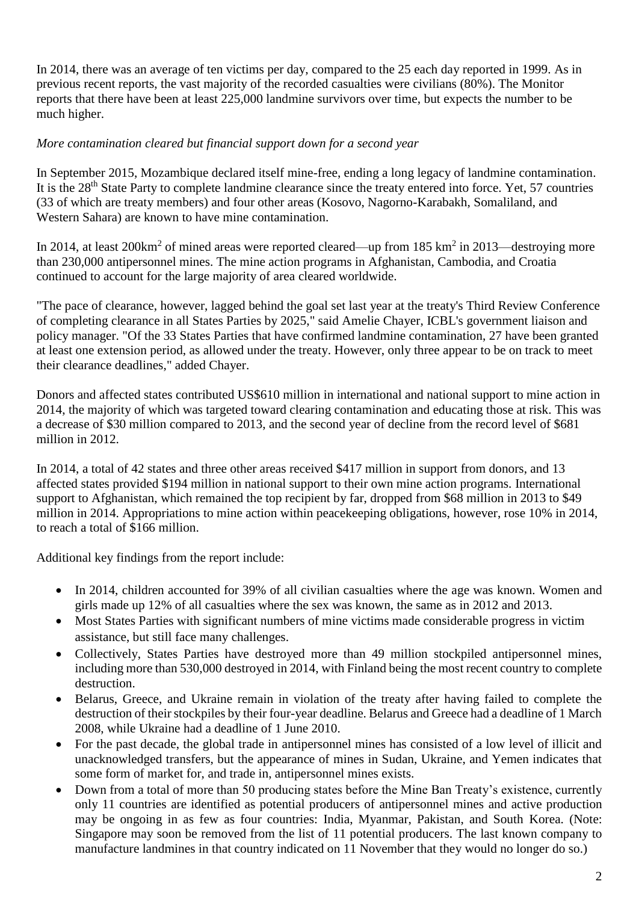In 2014, there was an average of ten victims per day, compared to the 25 each day reported in 1999. As in previous recent reports, the vast majority of the recorded casualties were civilians (80%). The Monitor reports that there have been at least 225,000 landmine survivors over time, but expects the number to be much higher.

### *More contamination cleared but financial support down for a second year*

In September 2015, Mozambique declared itself mine-free, ending a long legacy of landmine contamination. It is the 28<sup>th</sup> State Party to complete landmine clearance since the treaty entered into force. Yet, 57 countries (33 of which are treaty members) and four other areas (Kosovo, Nagorno-Karabakh, Somaliland, and Western Sahara) are known to have mine contamination.

In 2014, at least 200 $\text{km}^2$  of mined areas were reported cleared—up from 185  $\text{km}^2$  in 2013—destroying more than 230,000 antipersonnel mines. The mine action programs in Afghanistan, Cambodia, and Croatia continued to account for the large majority of area cleared worldwide.

"The pace of clearance, however, lagged behind the goal set last year at the treaty's Third Review Conference of completing clearance in all States Parties by 2025," said Amelie Chayer, ICBL's government liaison and policy manager. "Of the 33 States Parties that have confirmed landmine contamination, 27 have been granted at least one extension period, as allowed under the treaty. However, only three appear to be on track to meet their clearance deadlines," added Chayer.

Donors and affected states contributed US\$610 million in international and national support to mine action in 2014, the majority of which was targeted toward clearing contamination and educating those at risk. This was a decrease of \$30 million compared to 2013, and the second year of decline from the record level of \$681 million in 2012.

In 2014, a total of 42 states and three other areas received \$417 million in support from donors, and 13 affected states provided \$194 million in national support to their own mine action programs. International support to Afghanistan, which remained the top recipient by far, dropped from \$68 million in 2013 to \$49 million in 2014. Appropriations to mine action within peacekeeping obligations, however, rose 10% in 2014, to reach a total of \$166 million.

Additional key findings from the report include:

- In 2014, children accounted for 39% of all civilian casualties where the age was known. Women and girls made up 12% of all casualties where the sex was known, the same as in 2012 and 2013.
- Most States Parties with significant numbers of mine victims made considerable progress in victim assistance, but still face many challenges.
- Collectively, States Parties have destroyed more than 49 million stockpiled antipersonnel mines, including more than 530,000 destroyed in 2014, with Finland being the most recent country to complete destruction.
- Belarus, Greece, and Ukraine remain in violation of the treaty after having failed to complete the destruction of their stockpiles by their four-year deadline. Belarus and Greece had a deadline of 1 March 2008, while Ukraine had a deadline of 1 June 2010.
- For the past decade, the global trade in antipersonnel mines has consisted of a low level of illicit and unacknowledged transfers, but the appearance of mines in Sudan, Ukraine, and Yemen indicates that some form of market for, and trade in, antipersonnel mines exists.
- Down from a total of more than 50 producing states before the Mine Ban Treaty's existence, currently only 11 countries are identified as potential producers of antipersonnel mines and active production may be ongoing in as few as four countries: India, Myanmar, Pakistan, and South Korea. (Note: Singapore may soon be removed from the list of 11 potential producers. The last known company to manufacture landmines in that country indicated on 11 November that they would no longer do so.)